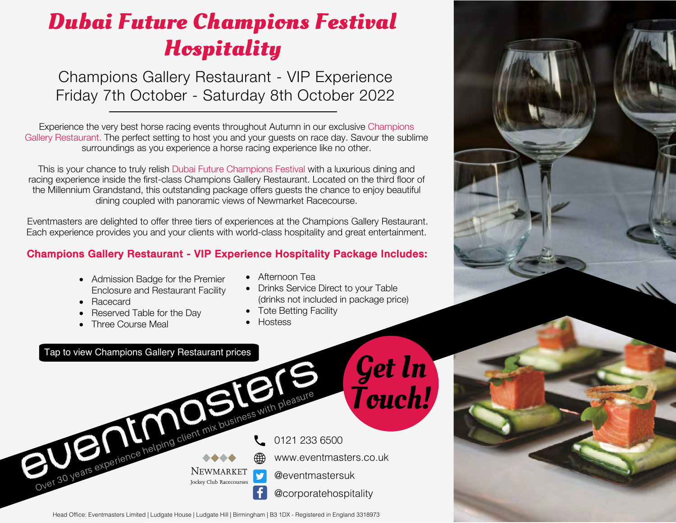# **Dubai Future Champions Festival Hospitality**

Champions Gallery Restaurant - VIP Experience Friday 7th October - Saturday 8th October 2022

Experience the very best horse racing events throughout Autumn in our exclusive Champions Gallery Restaurant. The perfect setting to host you and your guests on race day. Savour the sublime surroundings as you experience a horse racing experience like no other.

This is your chance to truly relish Dubai Future Champions Festival with a luxurious dining and racing experience inside the first-class Champions Gallery Restaurant. Located on the third floor of the Millennium Grandstand, this outstanding package offers guests the chance to enjoy beautiful dining coupled with panoramic views of Newmarket Racecourse.

Eventmasters are delighted to offer three tiers of experiences at the Champions Gallery Restaurant. Each experience provides you and your clients with world-class hospitality and great entertainment.

### Champions Gallery Restaurant - VIP Experience Hospitality Package Includes:

- Admission Badge for the Premier Enclosure and Restaurant Facility
- Racecard
- Reserved Table for the Day
- Three Course Meal
- Afternoon Tea
- Drinks Service Direct to your Table (drinks not included in package price)
- Tote Betting Facility
- Hostess



Head Office: Eventmasters Limited | Ludgate House | Ludgate Hill | Birmingham | B3 1DX - Registered in England 3318973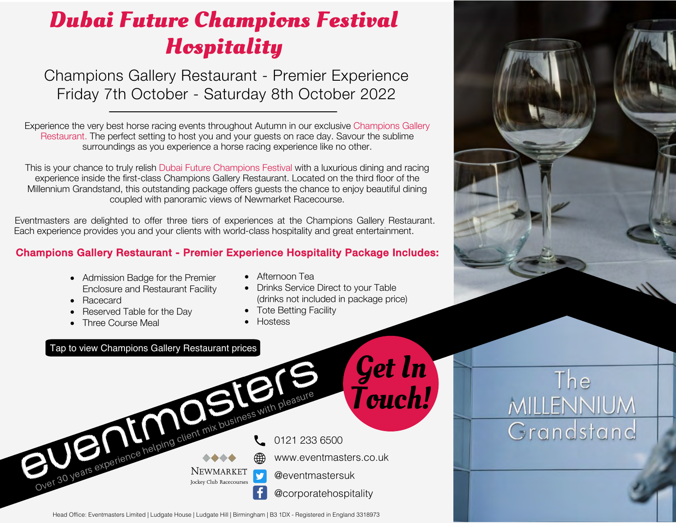# **Dubai Future Champions Festival Hospitality**

Champions Gallery Restaurant - Premier Experience Friday 7th October - Saturday 8th October 2022

Experience the very best horse racing events throughout Autumn in our exclusive Champions Gallery Restaurant. The perfect setting to host you and your guests on race day. Savour the sublime surroundings as you experience a horse racing experience like no other.

This is your chance to truly relish Dubai Future Champions Festival with a luxurious dining and racing experience inside the first-class Champions Gallery Restaurant. Located on the third floor of the Millennium Grandstand, this outstanding package offers guests the chance to enjoy beautiful dining coupled with panoramic views of Newmarket Racecourse.

Eventmasters are delighted to offer three tiers of experiences at the Champions Gallery Restaurant. Each experience provides you and your clients with world-class hospitality and great entertainment.

#### Champions Gallery Restaurant - Premier Experience Hospitality Package Includes:

- Admission Badge for the Premier Enclosure and Restaurant Facility
- Racecard
- Reserved Table for the Day
- Three Course Meal
- Afternoon Tea
- Drinks Service Direct to your Table (drinks not included in package price)
- Tote Betting Facility
- Hostess







The

**MILLENNIUM** 

Grandstand